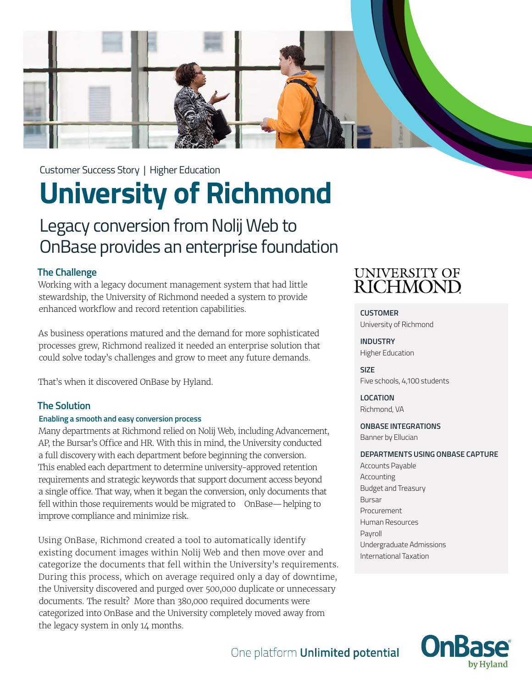

# **University of Richmond**

## Legacy conversion from Nolij Web to OnBase provides an enterprise foundation

#### **The Challenge**

Working with a legacy document management system that had little stewardship, the University of Richmond needed a system to provide enhanced workflow and record retention capabilities.

As business operations matured and the demand for more sophisticated processes grew, Richmond realized it needed an enterprise solution that could solve today's challenges and grow to meet any future demands.

That's when it discovered OnBase by Hyland.

#### **The Solution**

#### **Enabling a smooth and easy conversion process**

Many departments at Richmond relied on Nolij Web, including Advancement, AP, the Bursar's Office and HR. With this in mind, the University conducted a full discovery with each department before beginning the conversion. This enabled each department to determine university-approved retention requirements and strategic keywords that support document access beyond a single office. That way, when it began the conversion, only documents that fell within those requirements would be migrated to OnBase—helping to improve compliance and minimize risk.

Using OnBase, Richmond created a tool to automatically identify existing document images within Nolij Web and then move over and categorize the documents that fell within the University's requirements. During this process, which on average required only a day of downtime, the University discovered and purged over 500,000 duplicate or unnecessary documents. The result? More than 380,000 required documents were categorized into OnBase and the University completely moved away from the legacy system in only 14 months.

### **UNIVERSITY OF** RICHMOND

**CUSTOMER** University of Richmond

**INDUSTRY** Higher Education

**SIZE** Five schools, 4,100 students

**LOCATION** Richmond, VA

#### **ONBASE INTEGRATIONS**

Banner by Ellucian

#### **DEPARTMENTS USING ONBASE CAPTURE**

Accounts Payable Accounting Budget and Treasury Bursar Procurement Human Resources Payroll Undergraduate Admissions International Taxation